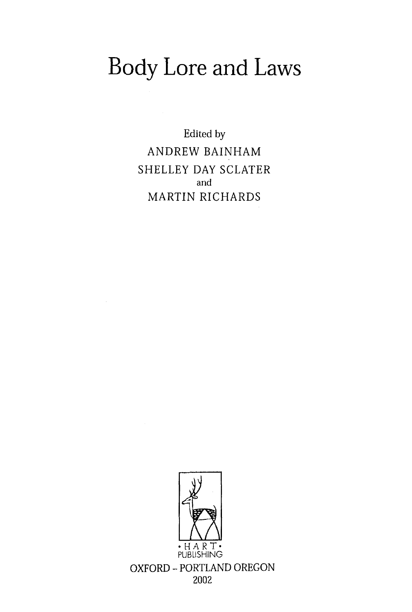## Body Lore and Laws

Edited by ANDREW BAINHAM SHELLEY DAY SCLATER and MARTIN RICHARDS

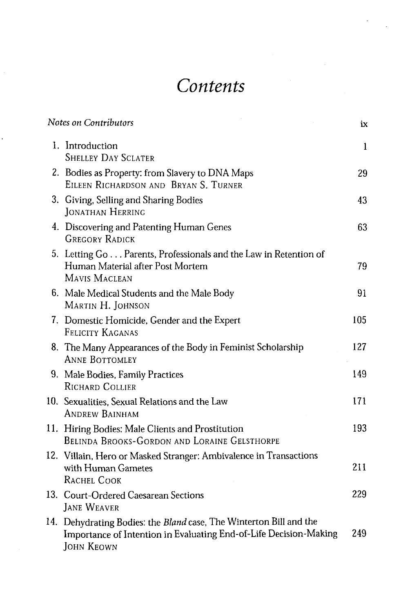## *Contents*

J

| Notes on Contributors                                                                                                                                        | ix  |
|--------------------------------------------------------------------------------------------------------------------------------------------------------------|-----|
| 1. Introduction<br><b>SHELLEY DAY SCLATER</b>                                                                                                                | 1   |
| 2. Bodies as Property: from Slavery to DNA Maps<br>EILEEN RICHARDSON AND BRYAN S. TURNER                                                                     | 29  |
| 3. Giving, Selling and Sharing Bodies<br>JONATHAN HERRING                                                                                                    | 43  |
| 4. Discovering and Patenting Human Genes<br><b>GREGORY RADICK</b>                                                                                            | 63  |
| 5. Letting Go Parents, Professionals and the Law in Retention of<br>Human Material after Post Mortem<br>MAVIS MACLEAN                                        | 79  |
| 6. Male Medical Students and the Male Body<br>Martin H. Iohnson                                                                                              | 91  |
| 7. Domestic Homicide, Gender and the Expert<br>FELICITY KAGANAS                                                                                              | 105 |
| 8. The Many Appearances of the Body in Feminist Scholarship<br><b>ANNE BOTTOMLEY</b>                                                                         | 127 |
| 9. Male Bodies, Family Practices<br>RICHARD COLLIER                                                                                                          | 149 |
| 10. Sexualities, Sexual Relations and the Law<br><b>ANDREW BAINHAM</b>                                                                                       | 171 |
| 11. Hiring Bodies: Male Clients and Prostitution<br><b>BELINDA BROOKS-GORDON AND LORAINE GELSTHORPE</b>                                                      | 193 |
| 12. Villain, Hero or Masked Stranger: Ambivalence in Transactions<br>with Human Gametes<br>RACHEL COOK                                                       | 211 |
| 13. Court-Ordered Caesarean Sections<br><b>JANE WEAVER</b>                                                                                                   | 229 |
| 14. Dehydrating Bodies: the Bland case, The Winterton Bill and the<br>Importance of Intention in Evaluating End-of-Life Decision-Making<br><b>JOHN KEOWN</b> | 249 |